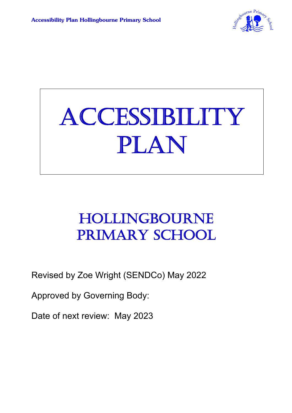

# **ACCESSIBILITY** PLAN

### HOLLINGBOURNE PRIMARY SCHOOL

Revised by Zoe Wright (SENDCo) May 2022

Approved by Governing Body:

Date of next review: May 2023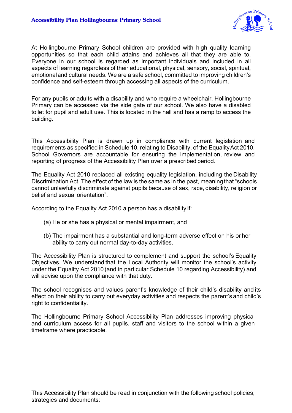

At Hollingbourne Primary School children are provided with high quality learning opportunities so that each child attains and achieves all that they are able to. Everyone in our school is regarded as important individuals and included in all aspects of learning regardless of their educational, physical, sensory, social, spiritual, emotionaland cultural needs. We are a safe school, committed to improving children's confidence and self-esteem through accessing all aspects of the curriculum.

For any pupils or adults with a disability and who require a wheelchair, Hollingbourne Primary can be accessed via the side gate of our school. We also have a disabled toilet for pupil and adult use. This is located in the hall and has a ramp to access the building.

This Accessibility Plan is drawn up in compliance with current legislation and requirements as specified in Schedule 10, relating to Disability, of the EqualityAct 2010. School Governors are accountable for ensuring the implementation, review and reporting of progress of the Accessibility Plan over a prescribed period.

The Equality Act 2010 replaced all existing equality legislation, including the Disability Discrimination Act. The effect of the law is the same as in the past, meaning that "schools" cannot unlawfully discriminate against pupils because of sex, race, disability, religion or belief and sexual orientation".

According to the Equality Act 2010 a person has a disability if:

- (a) He or she has a physical or mental impairment, and
- (b) The impairment has a substantial and long-term adverse effect on his or her ability to carry out normal day-to-day activities.

The Accessibility Plan is structured to complement and support the school's Equality Objectives. We understand that the Local Authority will monitor the school's activity under the Equality Act 2010 (and in particular Schedule 10 regarding Accessibility) and will advise upon the compliance with that duty.

The school recognises and values parent's knowledge of their child's disability and its effect on their ability to carry out everyday activities and respects the parent's and child's right to confidentiality.

The Hollingbourne Primary School Accessibility Plan addresses improving physical and curriculum access for all pupils, staff and visitors to the school within a given timeframe where practicable.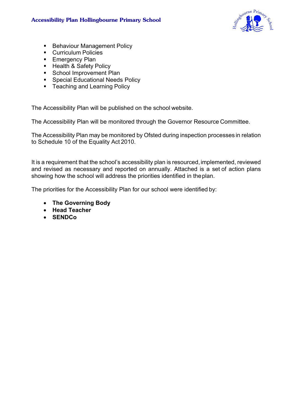

- Behaviour Management Policy
- Curriculum Policies
- Emergency Plan
- Health & Safety Policy
- School Improvement Plan
- Special Educational Needs Policy
- Teaching and Learning Policy

The Accessibility Plan will be published on the school website.

The Accessibility Plan will be monitored through the Governor Resource Committee.

The Accessibility Plan may be monitored by Ofsted during inspection processes in relation to Schedule 10 of the Equality Act 2010.

It is a requirement that the school's accessibility plan is resourced, implemented, reviewed and revised as necessary and reported on annually. Attached is a set of action plans showing how the school will address the priorities identified in theplan.

The priorities for the Accessibility Plan for our school were identified by:

- **The Governing Body**
- **Head Teacher**
- **SENDCo**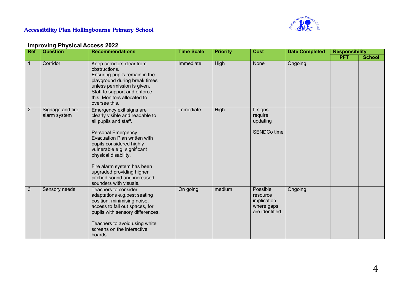

#### **Accessibility Plan Hollingbourne Primary School**

#### **Improving Physical Access 2022**

| <b>Ref</b>     | <b>Question</b>                  | <b>Recommendations</b>                                                                                                                                                                                                                                                                                                                                   | <b>Time Scale</b> | <b>Priority</b> | <b>Cost</b>                                                          | <b>Date Completed</b> | <b>Responsibility</b> |               |
|----------------|----------------------------------|----------------------------------------------------------------------------------------------------------------------------------------------------------------------------------------------------------------------------------------------------------------------------------------------------------------------------------------------------------|-------------------|-----------------|----------------------------------------------------------------------|-----------------------|-----------------------|---------------|
|                |                                  |                                                                                                                                                                                                                                                                                                                                                          |                   |                 |                                                                      |                       | <b>PFT</b>            | <b>School</b> |
| 1              | Corridor                         | Keep corridors clear from<br>obstructions.<br>Ensuring pupils remain in the<br>playground during break times<br>unless permission is given.<br>Staff to support and enforce<br>this. Monitors allocated to<br>oversee this.                                                                                                                              | Immediate         | High            | None                                                                 | Ongoing               |                       |               |
| $\overline{2}$ | Signage and fire<br>alarm system | Emergency exit signs are<br>clearly visible and readable to<br>all pupils and staff.<br><b>Personal Emergency</b><br>Evacuation Plan written with<br>pupils considered highly<br>vulnerable e.g. significant<br>physical disability.<br>Fire alarm system has been<br>upgraded providing higher<br>pitched sound and increased<br>sounders with visuals. | immediate         | High            | If signs<br>require<br>updating<br>SENDCo time                       |                       |                       |               |
| 3              | Sensory needs                    | Teachers to consider<br>adaptations e.g.best seating<br>position, minimising noise,<br>access to fall out spaces, for<br>pupils with sensory differences.<br>Teachers to avoid using white<br>screens on the interactive<br>boards.                                                                                                                      | On going          | medium          | Possible<br>resource<br>implication<br>where gaps<br>are identified. | Ongoing               |                       |               |